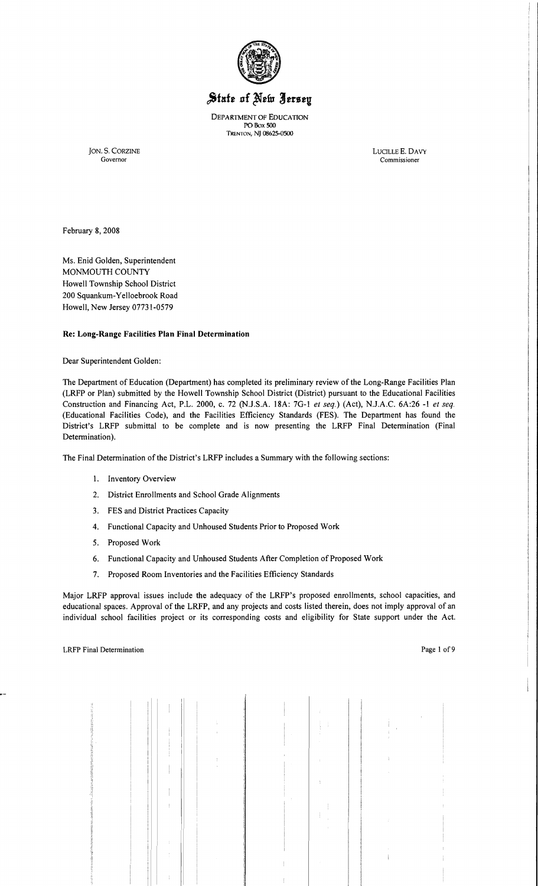

# State of New Jersey

DEPARTMENT OF EDUCATION POBox 500 TRENTON, NJ 08625-0500

JON. S. CORZINE LUCILLE E. DAVY Governor Commissioner Governor Commissioner Commissioner

February 8, 2008

Ms. Enid Golden, Superintendent MONMOUTH COUNTY Howell Township School District 200 Squankum-Yelloebrook Road Howell, New Jersey 07731-0579

## Re: Long-Range Facilities Plan Final Determination

Dear Superintendent Golden:

The Department of Education (Department) has completed its preliminary review of the Long-Range Facilities Plan (LRFP or Plan) submitted by the Howell Township School District (District) pursuant to the Educational Facilities Construction and Financing Act, P.L. 2000, c. 72 (NJ.S.A. 18A: 7G-l *et seq.)* (Act), N.J.A.C. 6A:26 -1 *et seq.*  (Educational Facilities Code), and the Facilities Efficiency Standards (FES). The Department has found the District's LRFP submittal to be complete and is now presenting the LRFP Final Detennination (Final Determination).

The Final Determination of the District's LRFP includes a Summary with the following sections:

- 1. Inventory Overview
- 2. District Enrollments and School Grade Alignments
- 3. FES and District Practices Capacity
- 4. Functional Capacity and Unhoused Students Prior to Proposed Work
- 5. Proposed Work
- 6. Functional Capacity and Unhoused Students After Completion of Proposed Work
- 7. Proposed Room Inventories and the Facilities Efficiency Standards

Major LRFP approval issues include the adequacy of the LRFP's proposed enrollments, school capacities, and educational spaces. Approval of the LRFP, and any projects and costs listed therein, does not imply approval of an individual school facilities project or its corresponding costs and eligibility for State support under the Act.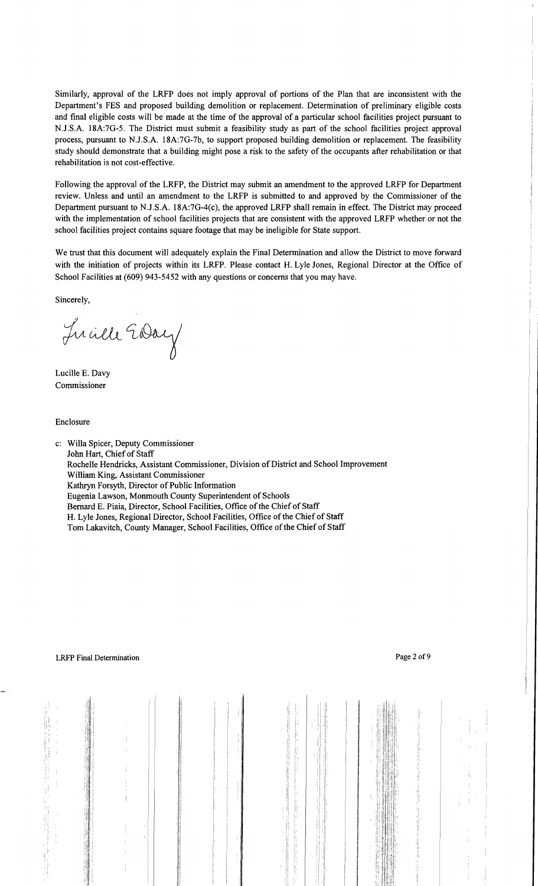Similarly, approval of the LRFP does not imply approval of portions of the Plan that are inconsistent with the Department's FES and proposed building demolition or replacement. Determination of preliminary eligible costs and final eligible costs will be made at the time of the approval of a particular school facilities project pursuant to NJ.S.A. 18A:7G-5. The District must submit a feasibility study as part of the school facilities project approval process, pursuant to NJ.S.A. 18A:7G-7b, to support proposed building demolition or replacement. The feasibility study should demonstrate that a building might pose a risk to the safety of the occupants after rehabilitation or that rehabilitation is not cost-effective.

Following the approval of the LRFP, the District may submit an amendment to the approved LRFP for Department review. Unless and until an amendment to the LRFP is submitted to and approved by the Commissioner of the Department pursuant to NJ.S.A. 18A:7G-4(c), the approved LRFP shall remain in effect. The District may proceed with the implementation of school facilities projects that are consistent with the approved LRFP whether or not the school facilities project contains square footage that may be ineligible for State support.

We trust that this document will adequately explain the Final Determination and allow the District to move forward with the initiation of projects within its LRFP. Please contact H. Lyle Jones, Regional Director at the Office of School Facilities at (609) 943-5452 with any questions or concerns that you may have.

Sincerely,

Lucille EDay

Lucille E. Davy Commissioner

Enclosure

c: Willa Spicer, Deputy Commissioner John Hart, Chief of Staff Rochelle Hendricks, Assistant Commissioner, Division of District and School Improvement William King, Assistant Commissioner Kathryn Forsyth, Director of Public Information Eugenia Lawson, Monmouth County Superintendent of Schools Bernard E. Piaia, Director, School Facilities, Office of the Chief of Staff H. Lyle Jones, Regional Director, School Facilities, Office of the Chief of Staff Tom Lakavitch, County Manager, School Facilities, Office of the Chief of Staff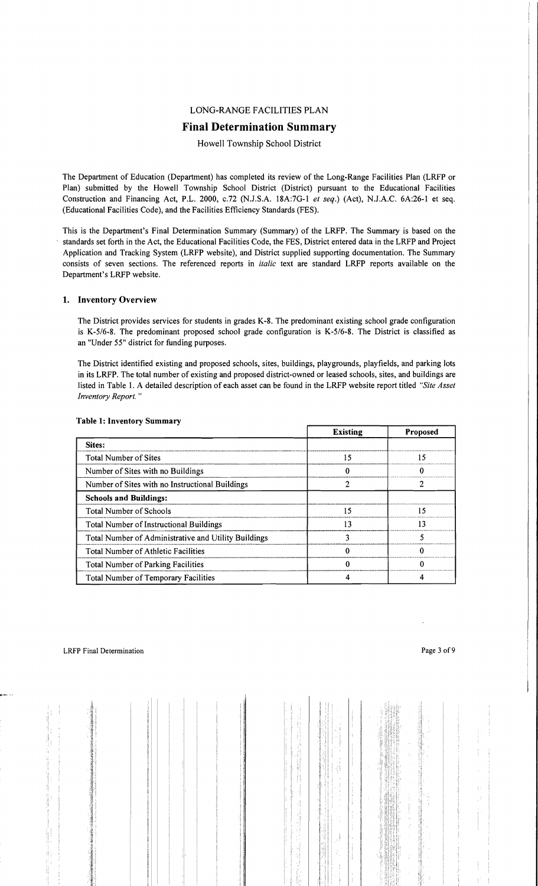# LONG-RANGE FACILITIES PLAN

# **Final Determination Summary**

Howell Township School District

The Department of Education (Department) has completed its review of the Long-Range Facilities Plan (LRFP or Plan) submitted by the Howell Township School District (District) pursuant to the Educational Facilities Construction and Financing Act, P.L. 2000, c.72 (N.J.S.A. 18A:7G-l *et seq.)* (Act), N.J.A.C. 6A:26-1 et seq. (Educational Facilities Code), and the Facilities Efficiency Standards (FES).

This is the Department's Final Determination Summary (Summary) of the LRFP. The Summary is based on the standards set forth in the Act, the Educational Facilities Code, the FES, District entered data in the LRFP and Project Application and Tracking System (LRFP website), and District supplied supporting documentation. The Summary consists of seven sections. The referenced reports in *italic* text are standard LRFP reports available on the Department's LRFP website.

#### 1. Inventory Overview

The District provides services for students in grades K-8. The predominant existing school grade configuration is K-5/6-8. The predominant proposed school grade configuration is K-5/6-8. The District is classified as an "Under 55" district for funding purposes.

The District identified existing and proposed schools, sites, buildings, playgrounds, playfields, and parking lots in its LRFP. The total number of existing and proposed district-owned or leased schools, sites, and buildings are listed in Table 1. A detailed description of each asset can be found in the LRFP website report titled *"Site Asset Inventory Report. "* 

|                                                      | <b>Existing</b> | <b>Proposed</b> |
|------------------------------------------------------|-----------------|-----------------|
| Sites:                                               |                 |                 |
| <b>Total Number of Sites</b>                         | 15              | 15              |
| Number of Sites with no Buildings                    |                 |                 |
| Number of Sites with no Instructional Buildings      |                 |                 |
| <b>Schools and Buildings:</b>                        |                 |                 |
| Total Number of Schools                              | 15              | 15              |
| <b>Total Number of Instructional Buildings</b>       | 13              | 13              |
| Total Number of Administrative and Utility Buildings |                 |                 |
| <b>Total Number of Athletic Facilities</b>           |                 |                 |
| <b>Total Number of Parking Facilities</b>            |                 |                 |
| <b>Total Number of Temporary Facilities</b>          |                 |                 |

# Table 1: Inventory Summary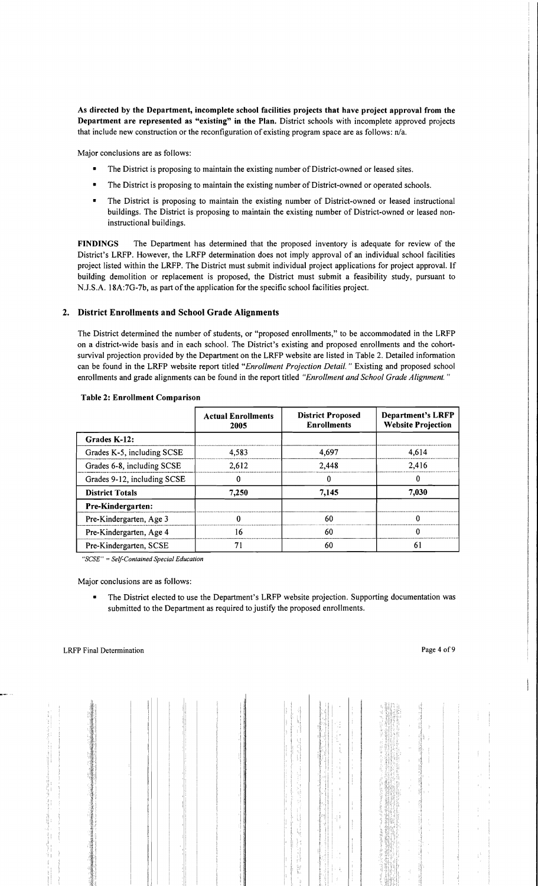As directed by the Department, incomplete school facilities projects that have project approval from the Department are represented as "existing" in the Plan. District schools with incomplete approved projects that include new construction or the reconfiguration of existing program space are as follows: n/a.

Major conclusions are as follows:

- The District is proposing to maintain the existing number of District-owned or leased sites.
- The District is proposing to maintain the existing number of District-owned or operated schools.
- The District is proposing to maintain the existing number of District-owned or leased instructional buildings. The District is proposing to maintain the existing number of District-owned or leased noninstructional buildings.

FINDINGS The Department has determined that the proposed inventory is adequate for review of the District's LRFP. However, the LRFP determination does not imply approval of an individual school facilities project listed within the LRFP. The District must submit individual project applications for project approval. If building demolition or replacement is proposed, the District must submit a feasibility study, pursuant to NJ.S.A. 18A:7G-7b, as part of the application for the specific school facilities project.

#### 2. District Enrollments and School Grade Alignments

The District determined the number of students, or "proposed enrollments," to be accommodated in the LRFP on a district-wide basis and in each school. The District's existing and proposed enrollments and the cohortsurvival projection provided by the Department on the LRFP website are listed in Table 2. Detailed information can be found in the LRFP website report titled *"Enrollment Projection Detail.* " Existing and proposed school enrollments and grade alignments can be found in the report titled *"Enrollment and School Grade Alignment. "* 

|                             | <b>Actual Enrollments</b><br>2005 | <b>District Proposed</b><br><b>Enrollments</b> | <b>Department's LRFP</b><br><b>Website Projection</b> |
|-----------------------------|-----------------------------------|------------------------------------------------|-------------------------------------------------------|
| Grades K-12:                |                                   |                                                |                                                       |
| Grades K-5, including SCSE  | 4.583                             | 4,697                                          | 4,614                                                 |
| Grades 6-8, including SCSE  | 2.612                             | 2,448                                          | 2.416                                                 |
| Grades 9-12, including SCSE |                                   |                                                |                                                       |
| <b>District Totals</b>      | 7.250                             | 7,145                                          | 7,030                                                 |
| Pre-Kindergarten:           |                                   |                                                |                                                       |
| Pre-Kindergarten, Age 3     | O                                 | 60                                             |                                                       |
| Pre-Kindergarten, Age 4     | 16                                | 60                                             | 0                                                     |
| Pre-Kindergarten, SCSE      | 71                                | 60                                             | 61                                                    |

#### Table 2: Enrollment Comparison

*"SCSE"* = *Self-Contained Special Education* 

Major conclusions are as follows:

The District elected to use the Department's LRFP website projection. Supporting documentation was submitted to the Department as required to justify the proposed enrollments.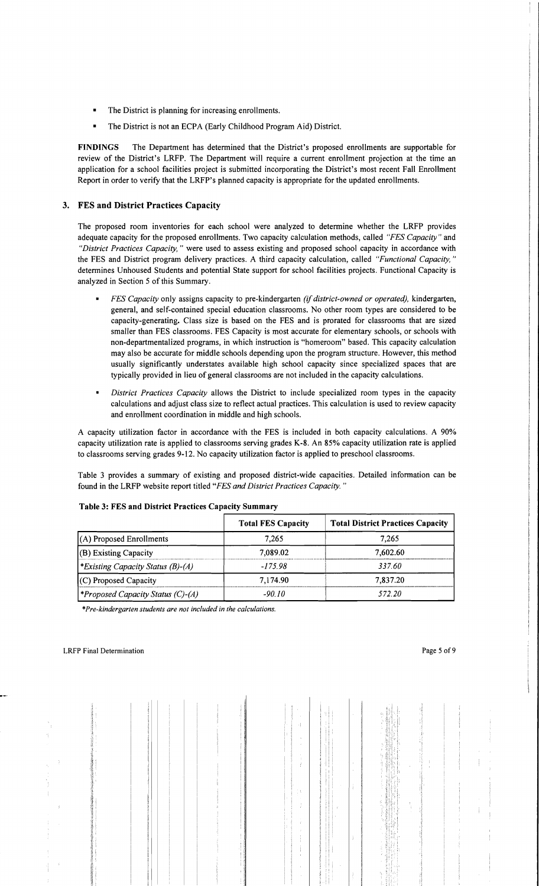- The District is planning for increasing enrollments.
- The District is not an ECPA (Early Childhood Program Aid) District.

FINDINGS The Department has determined that the District's proposed enrollments are supportable for review of the District's LRFP. The Department will require a current enrollment projection at the time an application for a school facilities project is submitted incorporating the District's most recent Fall Enrollment Report in order to verify that the LRFP's planned capacity is appropriate for the updated enrollments.

# 3. FES and District Practices Capacity

The proposed room inventories for each school were analyzed to determine whether the LRFP provides adequate capacity for the proposed enrollments. Two capacity calculation methods, called *"FES Capacity"* and *"District Practices Capacity,"* were used to assess existing and proposed school capacity in accordance with the FES and District program delivery practices. A third capacity calculation, called *"Functional Capacity*," determines Unhoused Students and potential State support for school facilities projects. Functional Capacity is analyzed in Section 5 of this Summary.

- *FES Capacity* only assigns capacity to pre-kindergarten *(if district-owned or operated),* kindergarten, general, and self-contained special education classrooms. No other room types are considered to be capacity-generating. Class size is based on the FES and is prorated for classrooms that are sized smaller than FES classrooms. FES Capacity is most accurate for elementary schools, or schools with non-departmentalized programs, in which instruction is "homeroom" based. This capacity calculation may also be accurate for middle schools depending upon the program structure. However, this method usually significantly understates available high school capacity since specialized spaces that are typically provided in lieu of general classrooms are not included in the capacity calculations.
- *District Practices Capacity* allows the District to include specialized room types in the capacity calculations and adjust class size to reflect actual practices. This calculation is used to review capacity and enrollment coordination in middle and high schools.

A capacity utilization factor in accordance with the FES is included in both capacity calculations. A 90% capacity utilization rate is applied to classrooms serving grades K-8. An 85% capacity utilization rate is applied to classrooms serving grades 9-12. No capacity utilization factor is applied to preschool classrooms.

Table 3 provides a summary of existing and proposed district-wide capacities. Detailed information can be found in the LRFP website report titled *"FES and District Practices Capacity.* ))

|                                          | <b>Total FES Capacity</b> | <b>Total District Practices Capacity</b> |
|------------------------------------------|---------------------------|------------------------------------------|
| $(A)$ Proposed Enrollments               | 7.265                     | 7.265                                    |
| $ $ (B) Existing Capacity                | 7.089.02                  | 7,602.60                                 |
| <i>Existing Capacity Status (B)-(A)</i>  | $-175.98$                 | 337.60                                   |
| $(C)$ Proposed Capacity                  | 7,174.90                  | 7,837.20                                 |
| <i>*Proposed Capacity Status (C)-(A)</i> | -90 10                    | 572.20                                   |

## Table 3: FES and District Practices Capacity Summary

*\*Pre-kindergarten students are not included in the calculations.*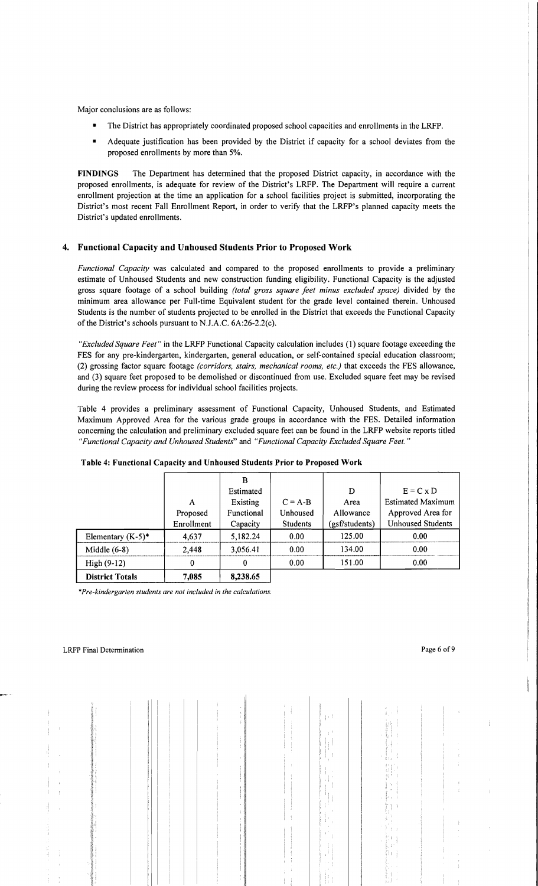Major conclusions are as follows:

- The District has appropriately coordinated proposed school capacities and enrollments in the LRFP.
- Adequate justification has been provided by the District if capacity for a school deviates from the proposed enrollments by more than 5%.

FINDINGS The Department has determined that the proposed District capacity, in accordance with the proposed enrollments, is adequate for review of the District's LRFP. The Department will require a current enrollment projection at the time an application for a school facilities project is submitted, incorporating the District's most recent Fall Enrollment Report, in order to verify that the LRFP's planned capacity meets the District's updated enrollments.

# 4. Functional Capacity and Unhoused Students Prior to Proposed Work

*Functional Capacity* was calculated and compared to the proposed enrollments to provide a preliminary estimate of Unhoused Students and new construction funding eligibility. Functional Capacity is the adjusted gross square footage of a school building *(total gross square feet minus excluded space)* divided by the minimum area allowance per Full-time Equivalent student for the grade level contained therein. Unhoused Students is the number of students projected to be enrolled in the District that exceeds the Functional Capacity of the District's schools pursuant to NJ.A.C. 6A:26-2.2(c).

*"Excluded Square Feet"* in the LRFP Functional Capacity calculation includes (1) square footage exceeding the FES for any pre-kindergarten, kindergarten, general education, or self-contained special education classroom; (2) grossing factor square footage *(corridors, stairs, mechanical rooms, etc.)* that exceeds the FES allowance, and (3) square feet proposed to be demolished or discontinued from use. Excluded square feet may be revised during the review process for individual school facilities projects.

Table 4 provides a preliminary assessment of Functional Capacity, Unhoused Students, and Estimated Maximum Approved Area for the various grade groups in accordance with the FES. Detailed information concerning the calculation and preliminary excluded square feet can be found in the LRFP website reports titled *"Functional Capacity and Unhoused Students"* and *"Functional Capacity Excluded Square Feet."* 

|                        |            | B          |                 |                |                          |
|------------------------|------------|------------|-----------------|----------------|--------------------------|
|                        |            | Estimated  |                 | D              | $E = C \times D$         |
|                        | A          | Existing   | $C = A-B$       | Area           | <b>Estimated Maximum</b> |
|                        | Proposed   | Functional | Unhoused        | Allowance      | Approved Area for        |
|                        | Enrollment | Capacity   | <b>Students</b> | (gsf/students) | <b>Unhoused Students</b> |
| Elementary $(K-5)^*$   | 4,637      | 5,182.24   | 0.00            | 125.00         | 0.00                     |
| Middle $(6-8)$         | 2.448      | 3,056.41   | 0.00            | 134.00         | 0.00                     |
| $High (9-12)$          | 0          | $\bf{0}$   | 0.00            | 151.00         | 0.00                     |
| <b>District Totals</b> | 7,085      | 8,238.65   |                 |                |                          |

## Table 4: Functional Capacity and Unhoused Students Prior to Proposed Work

*\*Pre-kindergarten students are not included in the calculations.*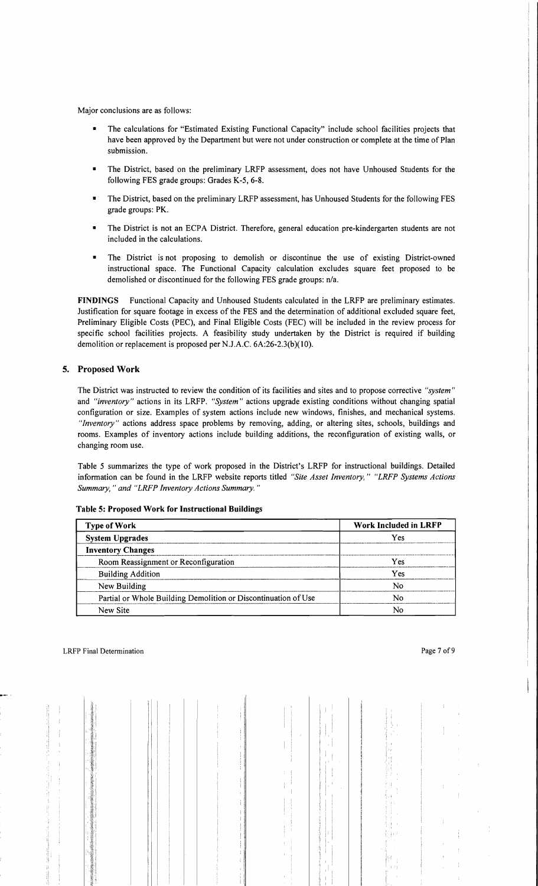Major conclusions are as follows:

- The calculations for "Estimated Existing Functional Capacity" include school facilities projects that have been approved by the Department but were not under construction or complete at the time of Plan submission.
- • The District, based on the preliminary LRFP assessment, does not have Unhoused Students for the following FES grade groups: Grades K-5, 6-8.
- The District, based on the preliminary LRFP assessment, has Unhoused Students for the following FES grade groups: PK.
- The District is not an ECPA District. Therefore, general education pre-kindergarten students are not included in the calculations.
- The District is not proposing to demolish or discontinue the use of existing District-owned instructional space. The Functional Capacity calculation excludes square feet proposed to be demolished or discontinued for the following FES grade groups: n/a.

FINDINGS Functional Capacity and Unhoused Students calculated in the LRFP are preliminary estimates. Justification for square footage in excess of the FES and the detennination of additional excluded square feet, Preliminary Eligible Costs (PEC), and Final Eligible Costs (FEC) will be included in the review process for specific school facilities projects. A feasibility study undertaken by the District is required if building demolition or replacement is proposed per NJ.A.C. 6A:26-2.3(b)(10).

## 5. Proposed Work

The District was instructed to review the condition of its facilities and sites and to propose corrective *"system"*  and *"inventory"* actions in its LRFP. *"System"* actions upgrade existing conditions without changing spatial configuration or size. Examples of system actions include new windows, finishes, and mechanical systems. *"Inventory"* actions address space problems by removing, adding, or altering sites, schools, buildings and rooms. Examples of inventory actions include building additions, the reconfiguration of existing walls, or changing room use.

Table 5 summarizes the type of work proposed in the District's LRFP for instructional buildings. Detailed infonnation can be found in the LRFP website reports titled *"Site Asset Inventory," "LRFP Systems Actions Summary, "and "LRFP Inventory Actions Summary. "* 

| <b>Type of Work</b>                                            | <b>Work Included in LRFP</b> |
|----------------------------------------------------------------|------------------------------|
| <b>System Upgrades</b>                                         | Yes                          |
| <b>Inventory Changes</b>                                       |                              |
| Room Reassignment or Reconfiguration                           | Yes                          |
| <b>Building Addition</b>                                       | Yes                          |
| New Building                                                   | N٥                           |
| Partial or Whole Building Demolition or Discontinuation of Use | N٥                           |
| New Site                                                       | No                           |

Table 5: Proposed Work for Instructional Buildings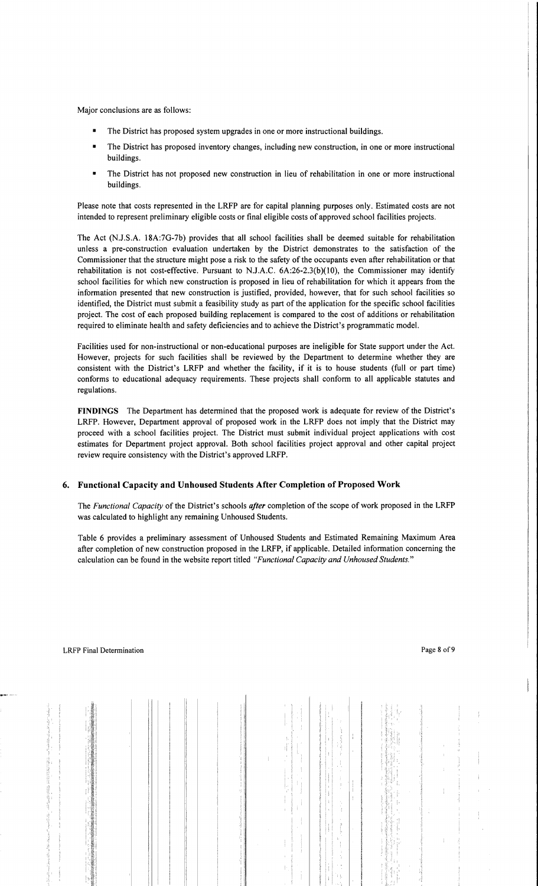Major conclusions are as follows:

- The District has proposed system upgrades in one or more instructional buildings.
- The District has proposed inventory changes, including new construction, in one or more instructional buildings.
- The District has not proposed new construction in lieu of rehabilitation in one or more instructional buildings.

Please note that costs represented in the LRFP are for capital planning purposes only. Estimated costs are not intended to represent preliminary eligible costs or final eligible costs of approved school facilities projects.

The Act (NJ.S.A. 18A:7G-7b) provides that all school facilities shall be deemed suitable for rehabilitation unless a pre-construction evaluation undertaken by the District demonstrates to the satisfaction of the Commissioner that the structure might pose a risk to the safety of the occupants even after rehabilitation or that rehabilitation is not cost-effective. Pursuant to NJ.A.C. 6A:26-2.3(b)(10), the Commissioner may identify school facilities for which new construction is proposed in lieu of rehabilitation for which it appears from the information presented that new construction is justified, provided, however, that for such school facilities so identified, the District must submit a feasibility study as part of the application for the specific school facilities project. The cost of each proposed building replacement is compared to the cost of additions or rehabilitation required to eliminate health and safety deficiencies and to achieve the District's programmatic model.

Facilities used for non-instructional or non-educational purposes are ineligible for State support under the Act. However, projects for such facilities shall be reviewed by the Department to determine whether they are consistent with the District's LRFP and whether the facility, if it is to house students (full or part time) conforms to educational adequacy requirements. These projects shall conform to all applicable statutes and regulations.

**FINDINGS** The Department has determined that the proposed work is adequate for review of the District's LRFP. However, Department approval of proposed work in the LRFP does not imply that the District may proceed with a school facilities project. The District must submit individual project applications with cost estimates for Department project approval. Both school facilities project approval and other capital project review require consistency with the District's approved LRFP.

## 6. **Functional Capacity and Unhoused Students After Completion** of Proposed **Work**

The *Functional Capacity* of the District's schools *after* completion of the scope of work proposed in the LRFP was calculated to highlight any remaining Unhoused Students.

Table 6 provides a preliminary assessment of Unhoused Students and Estimated Remaining Maximum Area after completion of new construction proposed in the LRFP, if applicable. Detailed information concerning the calculation can be found in the website report titled *"Functional Capacity and Unhoused Students."*